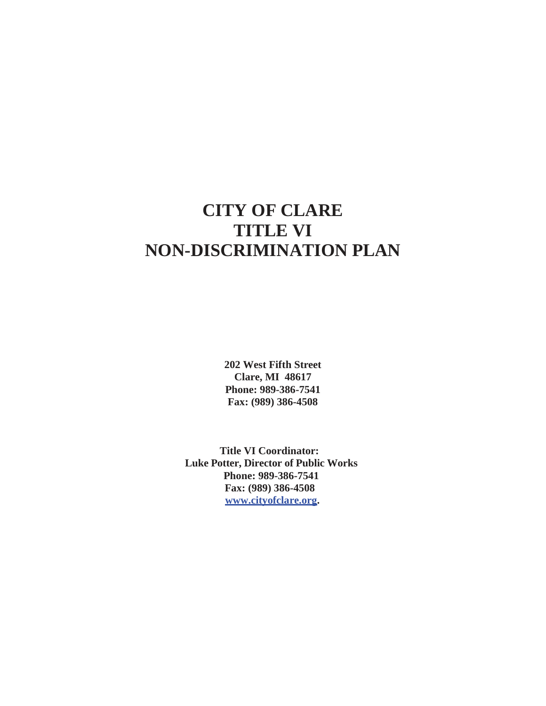# **CITY OF CLARE TITLE VI NON-DISCRIMINATION PLAN**

**202 West Fifth Street Clare, MI 48617 Phone: 989-386-7541 Fax: (989) 386-4508**

**Title VI Coordinator: Luke Potter, Director of Public Works Phone: 989-386-7541 Fax: (989) 386-4508 [www.cityofclare.org.](http://www.cityofclare.org/)**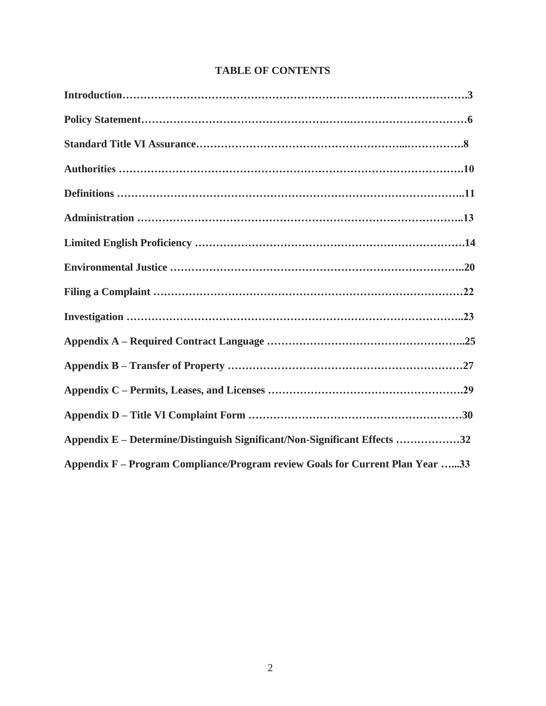| Appendix E – Determine/Distinguish Significant/Non-Significant Effects 32     |  |
|-------------------------------------------------------------------------------|--|
| Appendix F - Program Compliance/Program review Goals for Current Plan Year 33 |  |

# **TABLE OF CONTENTS**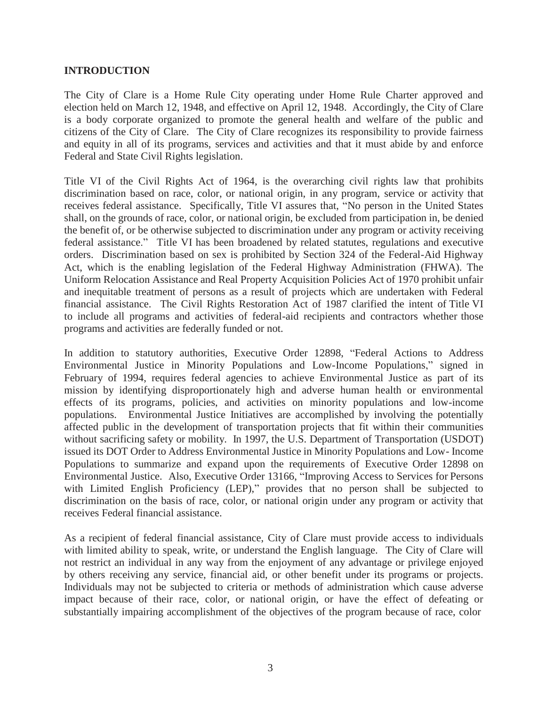#### **INTRODUCTION**

The City of Clare is a Home Rule City operating under Home Rule Charter approved and election held on March 12, 1948, and effective on April 12, 1948. Accordingly, the City of Clare is a body corporate organized to promote the general health and welfare of the public and citizens of the City of Clare. The City of Clare recognizes its responsibility to provide fairness and equity in all of its programs, services and activities and that it must abide by and enforce Federal and State Civil Rights legislation.

Title VI of the Civil Rights Act of 1964, is the overarching civil rights law that prohibits discrimination based on race, color, or national origin, in any program, service or activity that receives federal assistance. Specifically, Title VI assures that, "No person in the United States shall, on the grounds of race, color, or national origin, be excluded from participation in, be denied the benefit of, or be otherwise subjected to discrimination under any program or activity receiving federal assistance." Title VI has been broadened by related statutes, regulations and executive orders. Discrimination based on sex is prohibited by Section 324 of the Federal-Aid Highway Act, which is the enabling legislation of the Federal Highway Administration (FHWA). The Uniform Relocation Assistance and Real Property Acquisition Policies Act of 1970 prohibit unfair and inequitable treatment of persons as a result of projects which are undertaken with Federal financial assistance. The Civil Rights Restoration Act of 1987 clarified the intent of Title VI to include all programs and activities of federal-aid recipients and contractors whether those programs and activities are federally funded or not.

In addition to statutory authorities, Executive Order 12898, "Federal Actions to Address Environmental Justice in Minority Populations and Low-Income Populations," signed in February of 1994, requires federal agencies to achieve Environmental Justice as part of its mission by identifying disproportionately high and adverse human health or environmental effects of its programs, policies, and activities on minority populations and low-income populations. Environmental Justice Initiatives are accomplished by involving the potentially affected public in the development of transportation projects that fit within their communities without sacrificing safety or mobility. In 1997, the U.S. Department of Transportation (USDOT) issued its DOT Order to Address Environmental Justice in Minority Populations and Low- Income Populations to summarize and expand upon the requirements of Executive Order 12898 on Environmental Justice. Also, Executive Order 13166, "Improving Access to Services for Persons with Limited English Proficiency (LEP)," provides that no person shall be subjected to discrimination on the basis of race, color, or national origin under any program or activity that receives Federal financial assistance.

As a recipient of federal financial assistance, City of Clare must provide access to individuals with limited ability to speak, write, or understand the English language. The City of Clare will not restrict an individual in any way from the enjoyment of any advantage or privilege enjoyed by others receiving any service, financial aid, or other benefit under its programs or projects. Individuals may not be subjected to criteria or methods of administration which cause adverse impact because of their race, color, or national origin, or have the effect of defeating or substantially impairing accomplishment of the objectives of the program because of race, color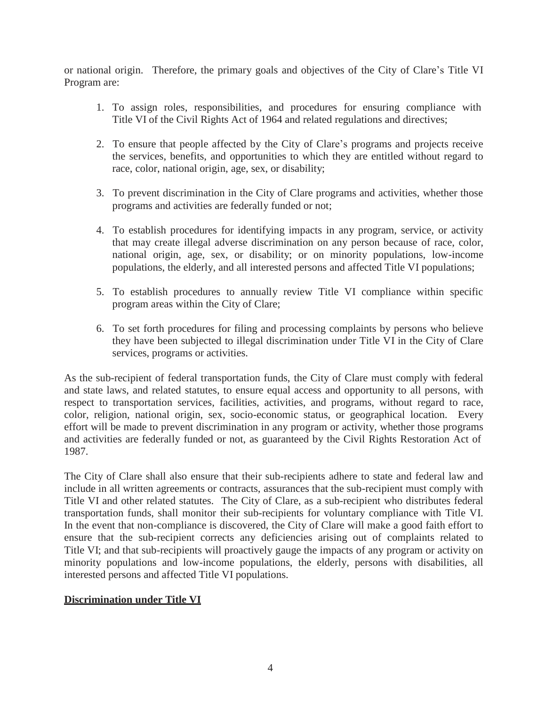or national origin. Therefore, the primary goals and objectives of the City of Clare's Title VI Program are:

- 1. To assign roles, responsibilities, and procedures for ensuring compliance with Title VI of the Civil Rights Act of 1964 and related regulations and directives;
- 2. To ensure that people affected by the City of Clare's programs and projects receive the services, benefits, and opportunities to which they are entitled without regard to race, color, national origin, age, sex, or disability;
- 3. To prevent discrimination in the City of Clare programs and activities, whether those programs and activities are federally funded or not;
- 4. To establish procedures for identifying impacts in any program, service, or activity that may create illegal adverse discrimination on any person because of race, color, national origin, age, sex, or disability; or on minority populations, low-income populations, the elderly, and all interested persons and affected Title VI populations;
- 5. To establish procedures to annually review Title VI compliance within specific program areas within the City of Clare;
- 6. To set forth procedures for filing and processing complaints by persons who believe they have been subjected to illegal discrimination under Title VI in the City of Clare services, programs or activities.

As the sub-recipient of federal transportation funds, the City of Clare must comply with federal and state laws, and related statutes, to ensure equal access and opportunity to all persons, with respect to transportation services, facilities, activities, and programs, without regard to race, color, religion, national origin, sex, socio-economic status, or geographical location. Every effort will be made to prevent discrimination in any program or activity, whether those programs and activities are federally funded or not, as guaranteed by the Civil Rights Restoration Act of 1987.

The City of Clare shall also ensure that their sub-recipients adhere to state and federal law and include in all written agreements or contracts, assurances that the sub-recipient must comply with Title VI and other related statutes. The City of Clare, as a sub-recipient who distributes federal transportation funds, shall monitor their sub-recipients for voluntary compliance with Title VI. In the event that non-compliance is discovered, the City of Clare will make a good faith effort to ensure that the sub-recipient corrects any deficiencies arising out of complaints related to Title VI; and that sub-recipients will proactively gauge the impacts of any program or activity on minority populations and low-income populations, the elderly, persons with disabilities, all interested persons and affected Title VI populations.

# **Discrimination under Title VI**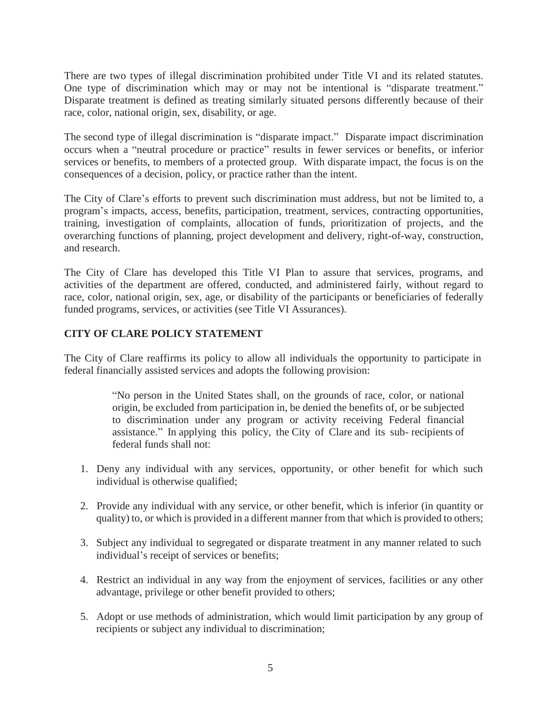There are two types of illegal discrimination prohibited under Title VI and its related statutes. One type of discrimination which may or may not be intentional is "disparate treatment." Disparate treatment is defined as treating similarly situated persons differently because of their race, color, national origin, sex, disability, or age.

The second type of illegal discrimination is "disparate impact." Disparate impact discrimination occurs when a "neutral procedure or practice" results in fewer services or benefits, or inferior services or benefits, to members of a protected group. With disparate impact, the focus is on the consequences of a decision, policy, or practice rather than the intent.

The City of Clare's efforts to prevent such discrimination must address, but not be limited to, a program's impacts, access, benefits, participation, treatment, services, contracting opportunities, training, investigation of complaints, allocation of funds, prioritization of projects, and the overarching functions of planning, project development and delivery, right-of-way, construction, and research.

The City of Clare has developed this Title VI Plan to assure that services, programs, and activities of the department are offered, conducted, and administered fairly, without regard to race, color, national origin, sex, age, or disability of the participants or beneficiaries of federally funded programs, services, or activities (see Title VI Assurances).

# **CITY OF CLARE POLICY STATEMENT**

The City of Clare reaffirms its policy to allow all individuals the opportunity to participate in federal financially assisted services and adopts the following provision:

> "No person in the United States shall, on the grounds of race, color, or national origin, be excluded from participation in, be denied the benefits of, or be subjected to discrimination under any program or activity receiving Federal financial assistance." In applying this policy, the City of Clare and its sub- recipients of federal funds shall not:

- 1. Deny any individual with any services, opportunity, or other benefit for which such individual is otherwise qualified;
- 2. Provide any individual with any service, or other benefit, which is inferior (in quantity or quality) to, or which is provided in a different manner from that which is provided to others;
- 3. Subject any individual to segregated or disparate treatment in any manner related to such individual's receipt of services or benefits;
- 4. Restrict an individual in any way from the enjoyment of services, facilities or any other advantage, privilege or other benefit provided to others;
- 5. Adopt or use methods of administration, which would limit participation by any group of recipients or subject any individual to discrimination;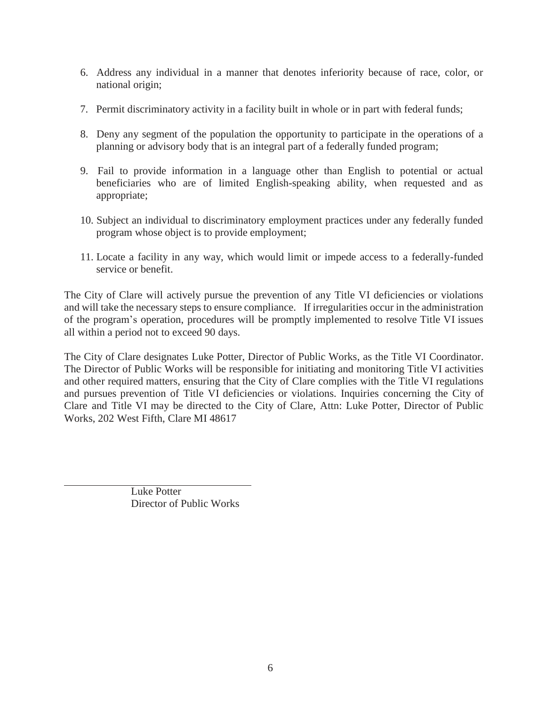- 6. Address any individual in a manner that denotes inferiority because of race, color, or national origin;
- 7. Permit discriminatory activity in a facility built in whole or in part with federal funds;
- 8. Deny any segment of the population the opportunity to participate in the operations of a planning or advisory body that is an integral part of a federally funded program;
- 9. Fail to provide information in a language other than English to potential or actual beneficiaries who are of limited English-speaking ability, when requested and as appropriate;
- 10. Subject an individual to discriminatory employment practices under any federally funded program whose object is to provide employment;
- 11. Locate a facility in any way, which would limit or impede access to a federally-funded service or benefit.

The City of Clare will actively pursue the prevention of any Title VI deficiencies or violations and will take the necessary steps to ensure compliance. If irregularities occur in the administration of the program's operation, procedures will be promptly implemented to resolve Title VI issues all within a period not to exceed 90 days.

The City of Clare designates Luke Potter, Director of Public Works, as the Title VI Coordinator. The Director of Public Works will be responsible for initiating and monitoring Title VI activities and other required matters, ensuring that the City of Clare complies with the Title VI regulations and pursues prevention of Title VI deficiencies or violations. Inquiries concerning the City of Clare and Title VI may be directed to the City of Clare, Attn: Luke Potter, Director of Public Works, 202 West Fifth, Clare MI 48617

> Luke Potter Director of Public Works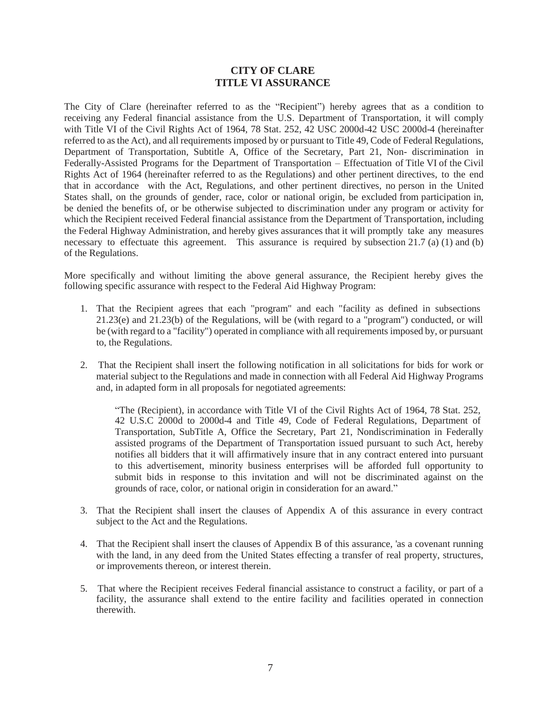#### **CITY OF CLARE TITLE VI ASSURANCE**

The City of Clare (hereinafter referred to as the "Recipient") hereby agrees that as a condition to receiving any Federal financial assistance from the U.S. Department of Transportation, it will comply with Title VI of the Civil Rights Act of 1964, 78 Stat. 252, 42 USC 2000d-42 USC 2000d-4 (hereinafter referred to as the Act), and all requirements imposed by or pursuant to Title 49, Code of Federal Regulations, Department of Transportation, Subtitle A, Office of the Secretary, Part 21, Non- discrimination in Federally-Assisted Programs for the Department of Transportation – Effectuation of Title VI of the Civil Rights Act of 1964 (hereinafter referred to as the Regulations) and other pertinent directives, to the end that in accordance with the Act, Regulations, and other pertinent directives, no person in the United States shall, on the grounds of gender, race, color or national origin, be excluded from participation in, be denied the benefits of, or be otherwise subjected to discrimination under any program or activity for which the Recipient received Federal financial assistance from the Department of Transportation, including the Federal Highway Administration, and hereby gives assurances that it will promptly take any measures necessary to effectuate this agreement. This assurance is required by subsection 21.7 (a) (1) and (b) of the Regulations.

More specifically and without limiting the above general assurance, the Recipient hereby gives the following specific assurance with respect to the Federal Aid Highway Program:

- 1. That the Recipient agrees that each "program" and each "facility as defined in subsections 21.23(e) and 21.23(b) of the Regulations, will be (with regard to a "program") conducted, or will be (with regard to a "facility") operated in compliance with all requirements imposed by, or pursuant to, the Regulations.
- 2. That the Recipient shall insert the following notification in all solicitations for bids for work or material subject to the Regulations and made in connection with all Federal Aid Highway Programs and, in adapted form in all proposals for negotiated agreements:

"The (Recipient), in accordance with Title VI of the Civil Rights Act of 1964, 78 Stat. 252, 42 U.S.C 2000d to 2000d-4 and Title 49, Code of Federal Regulations, Department of Transportation, SubTitle A, Office the Secretary, Part 21, Nondiscrimination in Federally assisted programs of the Department of Transportation issued pursuant to such Act, hereby notifies all bidders that it will affirmatively insure that in any contract entered into pursuant to this advertisement, minority business enterprises will be afforded full opportunity to submit bids in response to this invitation and will not be discriminated against on the grounds of race, color, or national origin in consideration for an award."

- 3. That the Recipient shall insert the clauses of Appendix A of this assurance in every contract subject to the Act and the Regulations.
- 4. That the Recipient shall insert the clauses of Appendix B of this assurance, 'as a covenant running with the land, in any deed from the United States effecting a transfer of real property, structures, or improvements thereon, or interest therein.
- 5. That where the Recipient receives Federal financial assistance to construct a facility, or part of a facility, the assurance shall extend to the entire facility and facilities operated in connection therewith.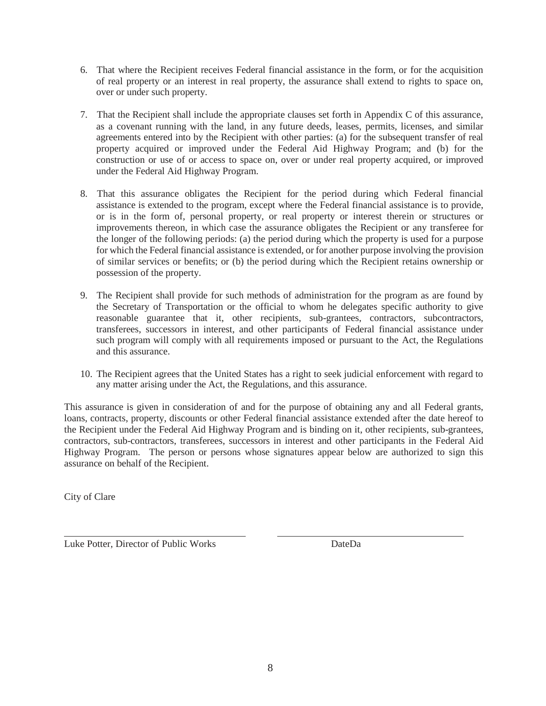- 6. That where the Recipient receives Federal financial assistance in the form, or for the acquisition of real property or an interest in real property, the assurance shall extend to rights to space on, over or under such property.
- 7. That the Recipient shall include the appropriate clauses set forth in Appendix C of this assurance, as a covenant running with the land, in any future deeds, leases, permits, licenses, and similar agreements entered into by the Recipient with other parties: (a) for the subsequent transfer of real property acquired or improved under the Federal Aid Highway Program; and (b) for the construction or use of or access to space on, over or under real property acquired, or improved under the Federal Aid Highway Program.
- 8. That this assurance obligates the Recipient for the period during which Federal financial assistance is extended to the program, except where the Federal financial assistance is to provide, or is in the form of, personal property, or real property or interest therein or structures or improvements thereon, in which case the assurance obligates the Recipient or any transferee for the longer of the following periods: (a) the period during which the property is used for a purpose for which the Federal financial assistance is extended, or for another purpose involving the provision of similar services or benefits; or (b) the period during which the Recipient retains ownership or possession of the property.
- 9. The Recipient shall provide for such methods of administration for the program as are found by the Secretary of Transportation or the official to whom he delegates specific authority to give reasonable guarantee that it, other recipients, sub-grantees, contractors, subcontractors, transferees, successors in interest, and other participants of Federal financial assistance under such program will comply with all requirements imposed or pursuant to the Act, the Regulations and this assurance.
- 10. The Recipient agrees that the United States has a right to seek judicial enforcement with regard to any matter arising under the Act, the Regulations, and this assurance.

This assurance is given in consideration of and for the purpose of obtaining any and all Federal grants, loans, contracts, property, discounts or other Federal financial assistance extended after the date hereof to the Recipient under the Federal Aid Highway Program and is binding on it, other recipients, sub-grantees, contractors, sub-contractors, transferees, successors in interest and other participants in the Federal Aid Highway Program. The person or persons whose signatures appear below are authorized to sign this assurance on behalf of the Recipient.

City of Clare

Luke Potter, Director of Public Works DateDa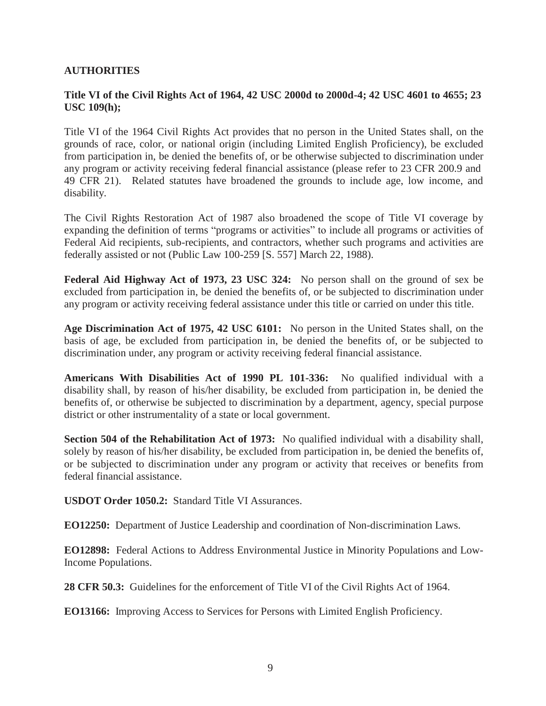# **AUTHORITIES**

#### Title VI of the Civil Rights Act of 1964, 42 USC 2000d to 2000d-4; 42 USC 4601 to 4655; 23 **USC 109(h);**

Title VI of the 1964 Civil Rights Act provides that no person in the United States shall, on the grounds of race, color, or national origin (including Limited English Proficiency), be excluded from participation in, be denied the benefits of, or be otherwise subjected to discrimination under any program or activity receiving federal financial assistance (please refer to 23 CFR 200.9 and 49 CFR 21). Related statutes have broadened the grounds to include age, low income, and disability.

The Civil Rights Restoration Act of 1987 also broadened the scope of Title VI coverage by expanding the definition of terms "programs or activities" to include all programs or activities of Federal Aid recipients, sub-recipients, and contractors, whether such programs and activities are federally assisted or not (Public Law 100-259 [S. 557] March 22, 1988).

**Federal Aid Highway Act of 1973, 23 USC 324:** No person shall on the ground of sex be excluded from participation in, be denied the benefits of, or be subjected to discrimination under any program or activity receiving federal assistance under this title or carried on under this title.

**Age Discrimination Act of 1975, 42 USC 6101:** No person in the United States shall, on the basis of age, be excluded from participation in, be denied the benefits of, or be subjected to discrimination under, any program or activity receiving federal financial assistance.

**Americans With Disabilities Act of 1990 PL 101-336:** No qualified individual with a disability shall, by reason of his/her disability, be excluded from participation in, be denied the benefits of, or otherwise be subjected to discrimination by a department, agency, special purpose district or other instrumentality of a state or local government.

**Section 504 of the Rehabilitation Act of 1973:** No qualified individual with a disability shall, solely by reason of his/her disability, be excluded from participation in, be denied the benefits of, or be subjected to discrimination under any program or activity that receives or benefits from federal financial assistance.

**USDOT Order 1050.2:** Standard Title VI Assurances.

**EO12250:** Department of Justice Leadership and coordination of Non-discrimination Laws.

**EO12898:** Federal Actions to Address Environmental Justice in Minority Populations and Low-Income Populations.

**28 CFR 50.3:** Guidelines for the enforcement of Title VI of the Civil Rights Act of 1964.

**EO13166:** Improving Access to Services for Persons with Limited English Proficiency.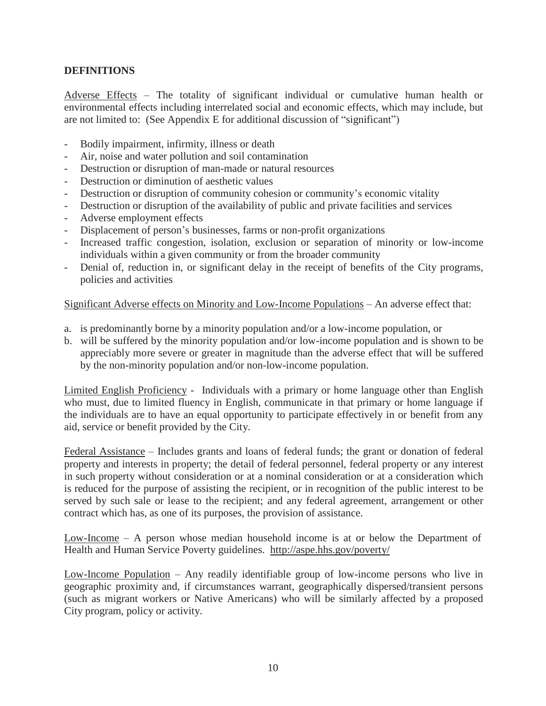# **DEFINITIONS**

Adverse Effects – The totality of significant individual or cumulative human health or environmental effects including interrelated social and economic effects, which may include, but are not limited to: (See Appendix E for additional discussion of "significant")

- Bodily impairment, infirmity, illness or death
- Air, noise and water pollution and soil contamination
- Destruction or disruption of man-made or natural resources
- Destruction or diminution of aesthetic values
- Destruction or disruption of community cohesion or community's economic vitality
- Destruction or disruption of the availability of public and private facilities and services
- Adverse employment effects
- Displacement of person's businesses, farms or non-profit organizations
- Increased traffic congestion, isolation, exclusion or separation of minority or low-income individuals within a given community or from the broader community
- Denial of, reduction in, or significant delay in the receipt of benefits of the City programs, policies and activities

#### Significant Adverse effects on Minority and Low-Income Populations – An adverse effect that:

- a. is predominantly borne by a minority population and/or a low-income population, or
- b. will be suffered by the minority population and/or low-income population and is shown to be appreciably more severe or greater in magnitude than the adverse effect that will be suffered by the non-minority population and/or non-low-income population.

Limited English Proficiency - Individuals with a primary or home language other than English who must, due to limited fluency in English, communicate in that primary or home language if the individuals are to have an equal opportunity to participate effectively in or benefit from any aid, service or benefit provided by the City.

Federal Assistance – Includes grants and loans of federal funds; the grant or donation of federal property and interests in property; the detail of federal personnel, federal property or any interest in such property without consideration or at a nominal consideration or at a consideration which is reduced for the purpose of assisting the recipient, or in recognition of the public interest to be served by such sale or lease to the recipient; and any federal agreement, arrangement or other contract which has, as one of its purposes, the provision of assistance.

Low-Income – A person whose median household income is at or below the Department of Health and Human Service Poverty guidelines. <http://aspe.hhs.gov/poverty/>

Low-Income Population – Any readily identifiable group of low-income persons who live in geographic proximity and, if circumstances warrant, geographically dispersed/transient persons (such as migrant workers or Native Americans) who will be similarly affected by a proposed City program, policy or activity.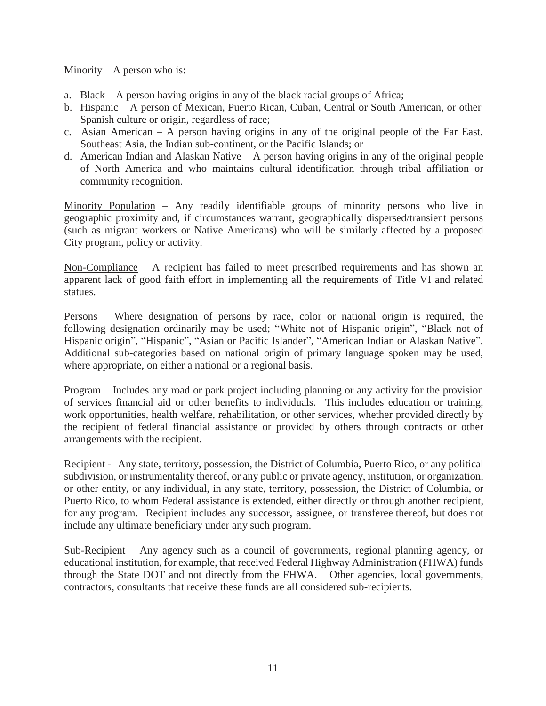Minority – A person who is:

- a. Black A person having origins in any of the black racial groups of Africa;
- b. Hispanic A person of Mexican, Puerto Rican, Cuban, Central or South American, or other Spanish culture or origin, regardless of race;
- c. Asian American A person having origins in any of the original people of the Far East, Southeast Asia, the Indian sub-continent, or the Pacific Islands; or
- d. American Indian and Alaskan Native A person having origins in any of the original people of North America and who maintains cultural identification through tribal affiliation or community recognition.

Minority Population – Any readily identifiable groups of minority persons who live in geographic proximity and, if circumstances warrant, geographically dispersed/transient persons (such as migrant workers or Native Americans) who will be similarly affected by a proposed City program, policy or activity.

Non-Compliance – A recipient has failed to meet prescribed requirements and has shown an apparent lack of good faith effort in implementing all the requirements of Title VI and related statues.

Persons – Where designation of persons by race, color or national origin is required, the following designation ordinarily may be used; "White not of Hispanic origin", "Black not of Hispanic origin", "Hispanic", "Asian or Pacific Islander", "American Indian or Alaskan Native". Additional sub-categories based on national origin of primary language spoken may be used, where appropriate, on either a national or a regional basis.

Program – Includes any road or park project including planning or any activity for the provision of services financial aid or other benefits to individuals. This includes education or training, work opportunities, health welfare, rehabilitation, or other services, whether provided directly by the recipient of federal financial assistance or provided by others through contracts or other arrangements with the recipient.

Recipient - Any state, territory, possession, the District of Columbia, Puerto Rico, or any political subdivision, or instrumentality thereof, or any public or private agency, institution, or organization, or other entity, or any individual, in any state, territory, possession, the District of Columbia, or Puerto Rico, to whom Federal assistance is extended, either directly or through another recipient, for any program. Recipient includes any successor, assignee, or transferee thereof, but does not include any ultimate beneficiary under any such program.

Sub-Recipient – Any agency such as a council of governments, regional planning agency, or educational institution, for example, that received Federal Highway Administration (FHWA) funds through the State DOT and not directly from the FHWA. Other agencies, local governments, contractors, consultants that receive these funds are all considered sub-recipients.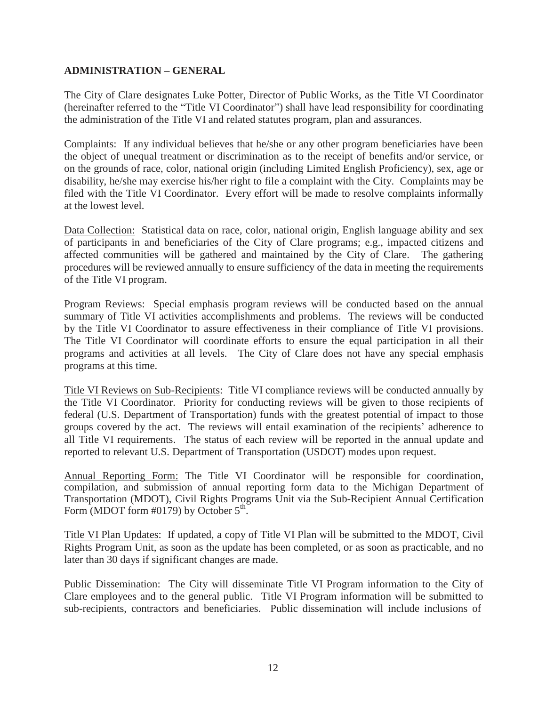#### **ADMINISTRATION – GENERAL**

The City of Clare designates Luke Potter, Director of Public Works, as the Title VI Coordinator (hereinafter referred to the "Title VI Coordinator") shall have lead responsibility for coordinating the administration of the Title VI and related statutes program, plan and assurances.

Complaints: If any individual believes that he/she or any other program beneficiaries have been the object of unequal treatment or discrimination as to the receipt of benefits and/or service, or on the grounds of race, color, national origin (including Limited English Proficiency), sex, age or disability, he/she may exercise his/her right to file a complaint with the City. Complaints may be filed with the Title VI Coordinator. Every effort will be made to resolve complaints informally at the lowest level.

Data Collection: Statistical data on race, color, national origin, English language ability and sex of participants in and beneficiaries of the City of Clare programs; e.g., impacted citizens and affected communities will be gathered and maintained by the City of Clare. The gathering procedures will be reviewed annually to ensure sufficiency of the data in meeting the requirements of the Title VI program.

Program Reviews: Special emphasis program reviews will be conducted based on the annual summary of Title VI activities accomplishments and problems. The reviews will be conducted by the Title VI Coordinator to assure effectiveness in their compliance of Title VI provisions. The Title VI Coordinator will coordinate efforts to ensure the equal participation in all their programs and activities at all levels. The City of Clare does not have any special emphasis programs at this time.

Title VI Reviews on Sub-Recipients: Title VI compliance reviews will be conducted annually by the Title VI Coordinator. Priority for conducting reviews will be given to those recipients of federal (U.S. Department of Transportation) funds with the greatest potential of impact to those groups covered by the act. The reviews will entail examination of the recipients' adherence to all Title VI requirements. The status of each review will be reported in the annual update and reported to relevant U.S. Department of Transportation (USDOT) modes upon request.

Annual Reporting Form: The Title VI Coordinator will be responsible for coordination, compilation, and submission of annual reporting form data to the Michigan Department of Transportation (MDOT), Civil Rights Programs Unit via the Sub-Recipient Annual Certification Form (MDOT form #0179) by October  $5^{\text{th}}$ .

Title VI Plan Updates: If updated, a copy of Title VI Plan will be submitted to the MDOT, Civil Rights Program Unit, as soon as the update has been completed, or as soon as practicable, and no later than 30 days if significant changes are made.

Public Dissemination: The City will disseminate Title VI Program information to the City of Clare employees and to the general public. Title VI Program information will be submitted to sub-recipients, contractors and beneficiaries. Public dissemination will include inclusions of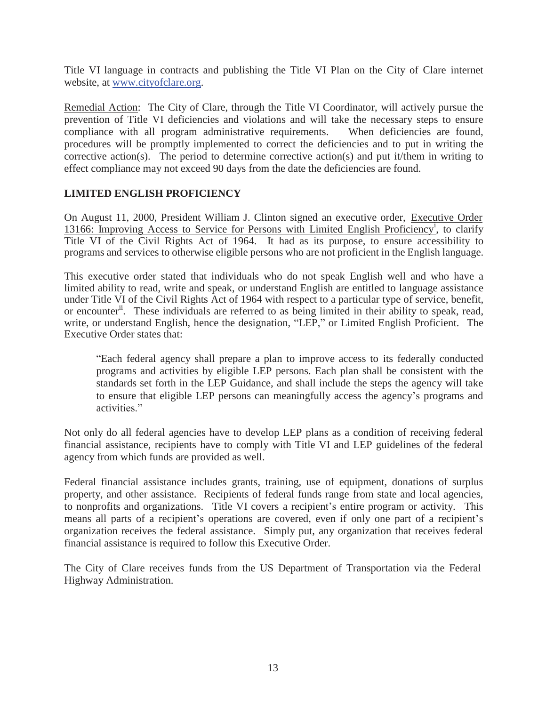Title VI language in contracts and publishing the Title VI Plan on the City of Clare internet website, at [www.cityofclare.org.](http://www.cityofclare.org/)

Remedial Action: The City of Clare, through the Title VI Coordinator, will actively pursue the prevention of Title VI deficiencies and violations and will take the necessary steps to ensure compliance with all program administrative requirements. When deficiencies are found, procedures will be promptly implemented to correct the deficiencies and to put in writing the corrective action(s). The period to determine corrective action(s) and put it/them in writing to effect compliance may not exceed 90 days from the date the deficiencies are found.

# **LIMITED ENGLISH PROFICIENCY**

On August 11, 2000, President William J. Clinton signed an executive order, Executive Order 13166: Improving Access to Service for Persons with Limited English Proficiency<sup>1</sup>, to clarify Title VI of the Civil Rights Act of 1964. It had as its purpose, to ensure accessibility to programs and services to otherwise eligible persons who are not proficient in the English language.

This executive order stated that individuals who do not speak English well and who have a limited ability to read, write and speak, or understand English are entitled to language assistance under Title VI of the Civil Rights Act of 1964 with respect to a particular type of service, benefit, or encounter<sup>ii</sup>. These individuals are referred to as being limited in their ability to speak, read, write, or understand English, hence the designation, "LEP," or Limited English Proficient. The Executive Order states that:

"Each federal agency shall prepare a plan to improve access to its federally conducted programs and activities by eligible LEP persons. Each plan shall be consistent with the standards set forth in the LEP Guidance, and shall include the steps the agency will take to ensure that eligible LEP persons can meaningfully access the agency's programs and activities."

Not only do all federal agencies have to develop LEP plans as a condition of receiving federal financial assistance, recipients have to comply with Title VI and LEP guidelines of the federal agency from which funds are provided as well.

Federal financial assistance includes grants, training, use of equipment, donations of surplus property, and other assistance. Recipients of federal funds range from state and local agencies, to nonprofits and organizations. Title VI covers a recipient's entire program or activity. This means all parts of a recipient's operations are covered, even if only one part of a recipient's organization receives the federal assistance. Simply put, any organization that receives federal financial assistance is required to follow this Executive Order.

The City of Clare receives funds from the US Department of Transportation via the Federal Highway Administration.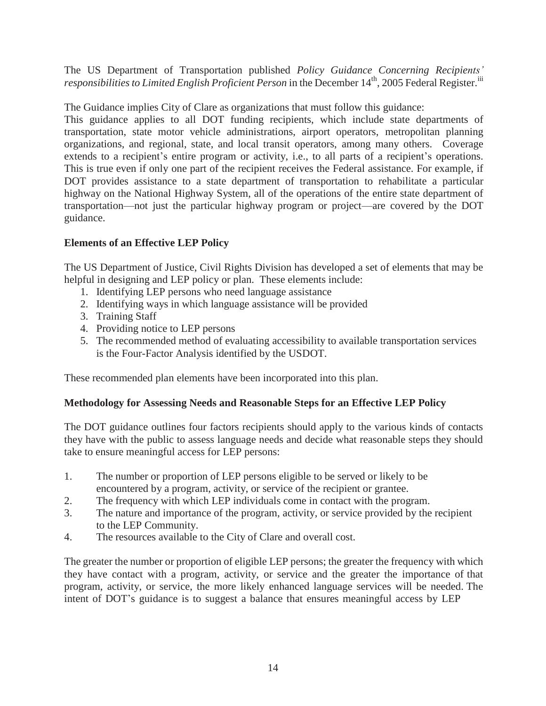The US Department of Transportation published *Policy Guidance Concerning Recipients'*  responsibilities to Limited English Proficient Person in the December 14<sup>th</sup>, 2005 Federal Register.<sup>iii</sup>

The Guidance implies City of Clare as organizations that must follow this guidance:

This guidance applies to all DOT funding recipients, which include state departments of transportation, state motor vehicle administrations, airport operators, metropolitan planning organizations, and regional, state, and local transit operators, among many others. Coverage extends to a recipient's entire program or activity, i.e., to all parts of a recipient's operations. This is true even if only one part of the recipient receives the Federal assistance. For example, if DOT provides assistance to a state department of transportation to rehabilitate a particular highway on the National Highway System, all of the operations of the entire state department of transportation—not just the particular highway program or project—are covered by the DOT guidance.

# **Elements of an Effective LEP Policy**

The US Department of Justice, Civil Rights Division has developed a set of elements that may be helpful in designing and LEP policy or plan. These elements include:

- 1. Identifying LEP persons who need language assistance
- 2. Identifying ways in which language assistance will be provided
- 3. Training Staff
- 4. Providing notice to LEP persons
- 5. The recommended method of evaluating accessibility to available transportation services is the Four-Factor Analysis identified by the USDOT.

These recommended plan elements have been incorporated into this plan.

# **Methodology for Assessing Needs and Reasonable Steps for an Effective LEP Policy**

The DOT guidance outlines four factors recipients should apply to the various kinds of contacts they have with the public to assess language needs and decide what reasonable steps they should take to ensure meaningful access for LEP persons:

- 1. The number or proportion of LEP persons eligible to be served or likely to be encountered by a program, activity, or service of the recipient or grantee.
- 2. The frequency with which LEP individuals come in contact with the program.
- 3. The nature and importance of the program, activity, or service provided by the recipient to the LEP Community.
- 4. The resources available to the City of Clare and overall cost.

The greater the number or proportion of eligible LEP persons; the greater the frequency with which they have contact with a program, activity, or service and the greater the importance of that program, activity, or service, the more likely enhanced language services will be needed. The intent of DOT's guidance is to suggest a balance that ensures meaningful access by LEP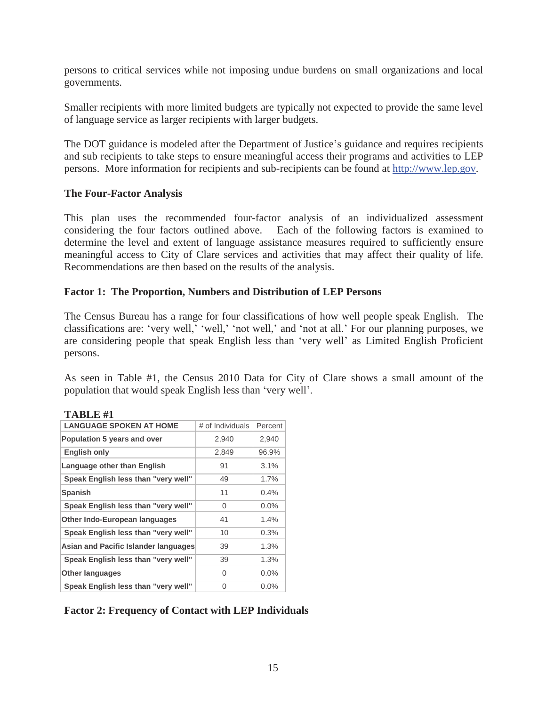persons to critical services while not imposing undue burdens on small organizations and local governments.

Smaller recipients with more limited budgets are typically not expected to provide the same level of language service as larger recipients with larger budgets.

The DOT guidance is modeled after the Department of Justice's guidance and requires recipients and sub recipients to take steps to ensure meaningful access their programs and activities to LEP persons. More information for recipients and sub-recipients can be found at [http://www.lep.gov](http://www.lep.gov/).

#### **The Four-Factor Analysis**

This plan uses the recommended four-factor analysis of an individualized assessment considering the four factors outlined above. Each of the following factors is examined to determine the level and extent of language assistance measures required to sufficiently ensure meaningful access to City of Clare services and activities that may affect their quality of life. Recommendations are then based on the results of the analysis.

#### **Factor 1: The Proportion, Numbers and Distribution of LEP Persons**

The Census Bureau has a range for four classifications of how well people speak English. The classifications are: 'very well,' 'well,' 'not well,' and 'not at all.' For our planning purposes, we are considering people that speak English less than 'very well' as Limited English Proficient persons.

As seen in Table #1, the Census 2010 Data for City of Clare shows a small amount of the population that would speak English less than 'very well'.

| # of Individuals | Percent |
|------------------|---------|
| 2,940            | 2,940   |
| 2,849            | 96.9%   |
| 91               | 3.1%    |
| 49               | 1.7%    |
| 11               | $0.4\%$ |
| 0                | $0.0\%$ |
| 41               | 1.4%    |
| 10               | 0.3%    |
| 39               | 1.3%    |
| 39               | 1.3%    |
| 0                | 0.0%    |
| 0                | 0.0%    |
|                  |         |

#### **TABLE #1**

# **Factor 2: Frequency of Contact with LEP Individuals**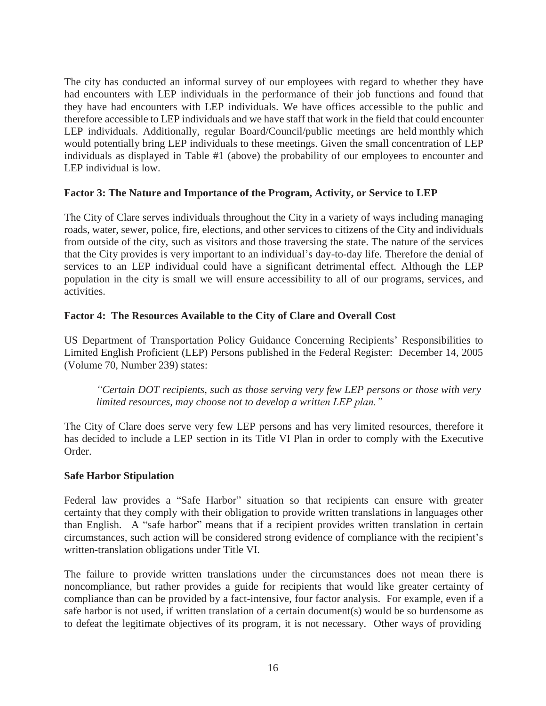The city has conducted an informal survey of our employees with regard to whether they have had encounters with LEP individuals in the performance of their job functions and found that they have had encounters with LEP individuals. We have offices accessible to the public and therefore accessible to LEP individuals and we have staff that work in the field that could encounter LEP individuals. Additionally, regular Board/Council/public meetings are held monthly which would potentially bring LEP individuals to these meetings. Given the small concentration of LEP individuals as displayed in Table #1 (above) the probability of our employees to encounter and LEP individual is low.

#### **Factor 3: The Nature and Importance of the Program, Activity, or Service to LEP**

The City of Clare serves individuals throughout the City in a variety of ways including managing roads, water, sewer, police, fire, elections, and other services to citizens of the City and individuals from outside of the city, such as visitors and those traversing the state. The nature of the services that the City provides is very important to an individual's day-to-day life. Therefore the denial of services to an LEP individual could have a significant detrimental effect. Although the LEP population in the city is small we will ensure accessibility to all of our programs, services, and activities.

# **Factor 4: The Resources Available to the City of Clare and Overall Cost**

US Department of Transportation Policy Guidance Concerning Recipients' Responsibilities to Limited English Proficient (LEP) Persons published in the Federal Register: December 14, 2005 (Volume 70, Number 239) states:

*"Certain DOT recipients, such as those serving very few LEP persons or those with very limited resources, may choose not to develop a written LEP plan."*

The City of Clare does serve very few LEP persons and has very limited resources, therefore it has decided to include a LEP section in its Title VI Plan in order to comply with the Executive Order.

#### **Safe Harbor Stipulation**

Federal law provides a "Safe Harbor" situation so that recipients can ensure with greater certainty that they comply with their obligation to provide written translations in languages other than English. A "safe harbor" means that if a recipient provides written translation in certain circumstances, such action will be considered strong evidence of compliance with the recipient's written-translation obligations under Title VI.

The failure to provide written translations under the circumstances does not mean there is noncompliance, but rather provides a guide for recipients that would like greater certainty of compliance than can be provided by a fact-intensive, four factor analysis. For example, even if a safe harbor is not used, if written translation of a certain document(s) would be so burdensome as to defeat the legitimate objectives of its program, it is not necessary. Other ways of providing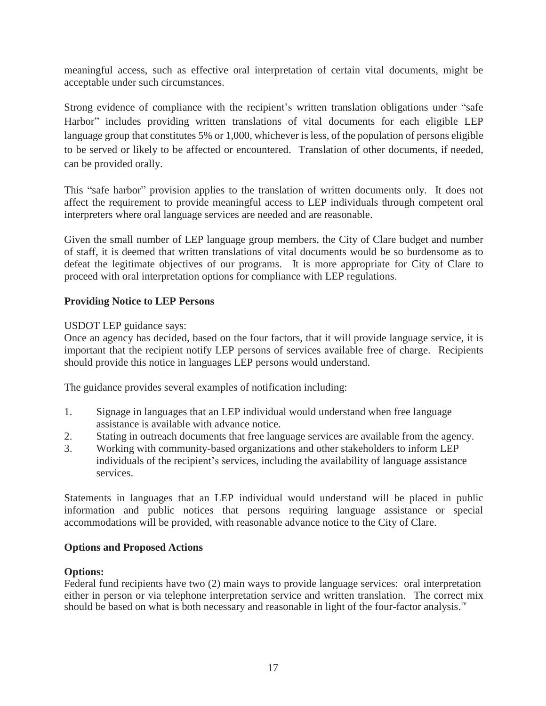meaningful access, such as effective oral interpretation of certain vital documents, might be acceptable under such circumstances.

Strong evidence of compliance with the recipient's written translation obligations under "safe Harbor" includes providing written translations of vital documents for each eligible LEP language group that constitutes 5% or 1,000, whichever is less, of the population of persons eligible to be served or likely to be affected or encountered. Translation of other documents, if needed, can be provided orally.

This "safe harbor" provision applies to the translation of written documents only. It does not affect the requirement to provide meaningful access to LEP individuals through competent oral interpreters where oral language services are needed and are reasonable.

Given the small number of LEP language group members, the City of Clare budget and number of staff, it is deemed that written translations of vital documents would be so burdensome as to defeat the legitimate objectives of our programs. It is more appropriate for City of Clare to proceed with oral interpretation options for compliance with LEP regulations.

# **Providing Notice to LEP Persons**

# USDOT LEP guidance says:

Once an agency has decided, based on the four factors, that it will provide language service, it is important that the recipient notify LEP persons of services available free of charge. Recipients should provide this notice in languages LEP persons would understand.

The guidance provides several examples of notification including:

- 1. Signage in languages that an LEP individual would understand when free language assistance is available with advance notice.
- 2. Stating in outreach documents that free language services are available from the agency.
- 3. Working with community-based organizations and other stakeholders to inform LEP individuals of the recipient's services, including the availability of language assistance services.

Statements in languages that an LEP individual would understand will be placed in public information and public notices that persons requiring language assistance or special accommodations will be provided, with reasonable advance notice to the City of Clare.

# **Options and Proposed Actions**

# **Options:**

Federal fund recipients have two (2) main ways to provide language services: oral interpretation either in person or via telephone interpretation service and written translation. The correct mix should be based on what is both necessary and reasonable in light of the four-factor analysis.<sup>iv</sup>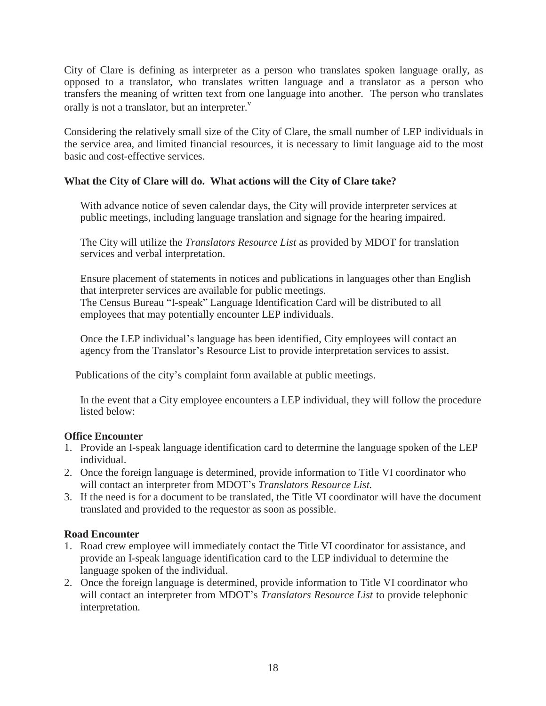City of Clare is defining as interpreter as a person who translates spoken language orally, as opposed to a translator, who translates written language and a translator as a person who transfers the meaning of written text from one language into another. The person who translates orally is not a translator, but an interpreter.<sup>v</sup>

Considering the relatively small size of the City of Clare, the small number of LEP individuals in the service area, and limited financial resources, it is necessary to limit language aid to the most basic and cost-effective services.

# **What the City of Clare will do. What actions will the City of Clare take?**

With advance notice of seven calendar days, the City will provide interpreter services at public meetings, including language translation and signage for the hearing impaired.

The City will utilize the *Translators Resource List* as provided by MDOT for translation services and verbal interpretation.

Ensure placement of statements in notices and publications in languages other than English that interpreter services are available for public meetings. The Census Bureau "I-speak" Language Identification Card will be distributed to all employees that may potentially encounter LEP individuals.

Once the LEP individual's language has been identified, City employees will contact an agency from the Translator's Resource List to provide interpretation services to assist.

Publications of the city's complaint form available at public meetings.

In the event that a City employee encounters a LEP individual, they will follow the procedure listed below:

# **Office Encounter**

- 1. Provide an I-speak language identification card to determine the language spoken of the LEP individual.
- 2. Once the foreign language is determined, provide information to Title VI coordinator who will contact an interpreter from MDOT's *Translators Resource List.*
- 3. If the need is for a document to be translated, the Title VI coordinator will have the document translated and provided to the requestor as soon as possible.

# **Road Encounter**

- 1. Road crew employee will immediately contact the Title VI coordinator for assistance, and provide an I-speak language identification card to the LEP individual to determine the language spoken of the individual.
- 2. Once the foreign language is determined, provide information to Title VI coordinator who will contact an interpreter from MDOT's *Translators Resource List* to provide telephonic interpretation*.*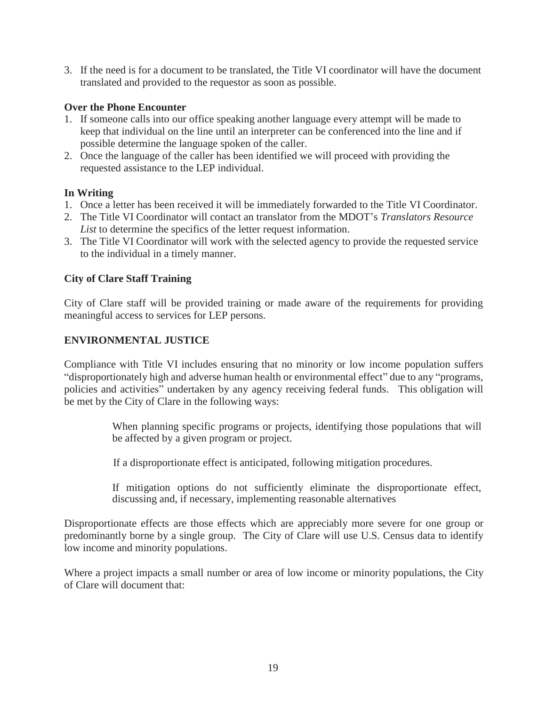3. If the need is for a document to be translated, the Title VI coordinator will have the document translated and provided to the requestor as soon as possible.

#### **Over the Phone Encounter**

- 1. If someone calls into our office speaking another language every attempt will be made to keep that individual on the line until an interpreter can be conferenced into the line and if possible determine the language spoken of the caller.
- 2. Once the language of the caller has been identified we will proceed with providing the requested assistance to the LEP individual.

#### **In Writing**

- 1. Once a letter has been received it will be immediately forwarded to the Title VI Coordinator.
- 2. The Title VI Coordinator will contact an translator from the MDOT's *Translators Resource List* to determine the specifics of the letter request information.
- 3. The Title VI Coordinator will work with the selected agency to provide the requested service to the individual in a timely manner.

# **City of Clare Staff Training**

City of Clare staff will be provided training or made aware of the requirements for providing meaningful access to services for LEP persons.

#### **ENVIRONMENTAL JUSTICE**

Compliance with Title VI includes ensuring that no minority or low income population suffers "disproportionately high and adverse human health or environmental effect" due to any "programs, policies and activities" undertaken by any agency receiving federal funds. This obligation will be met by the City of Clare in the following ways:

> When planning specific programs or projects, identifying those populations that will be affected by a given program or project.

If a disproportionate effect is anticipated, following mitigation procedures.

If mitigation options do not sufficiently eliminate the disproportionate effect, discussing and, if necessary, implementing reasonable alternatives

Disproportionate effects are those effects which are appreciably more severe for one group or predominantly borne by a single group. The City of Clare will use U.S. Census data to identify low income and minority populations.

Where a project impacts a small number or area of low income or minority populations, the City of Clare will document that: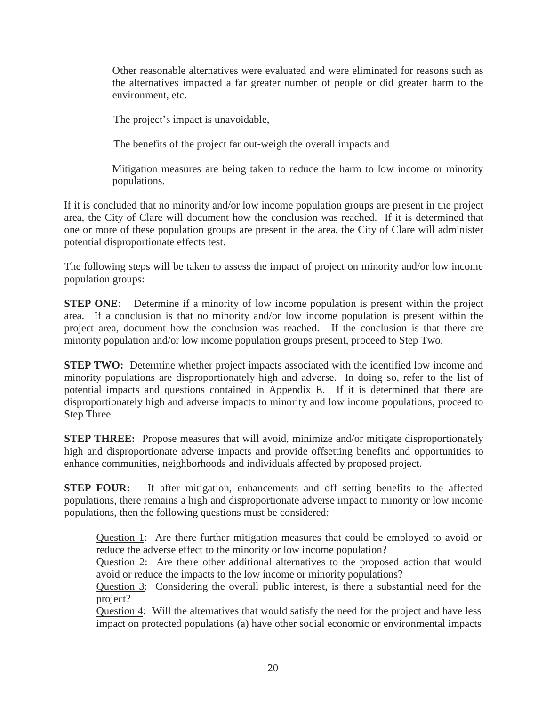Other reasonable alternatives were evaluated and were eliminated for reasons such as the alternatives impacted a far greater number of people or did greater harm to the environment, etc.

The project's impact is unavoidable,

The benefits of the project far out-weigh the overall impacts and

Mitigation measures are being taken to reduce the harm to low income or minority populations.

If it is concluded that no minority and/or low income population groups are present in the project area, the City of Clare will document how the conclusion was reached. If it is determined that one or more of these population groups are present in the area, the City of Clare will administer potential disproportionate effects test.

The following steps will be taken to assess the impact of project on minority and/or low income population groups:

**STEP ONE**: Determine if a minority of low income population is present within the project area. If a conclusion is that no minority and/or low income population is present within the project area, document how the conclusion was reached. If the conclusion is that there are minority population and/or low income population groups present, proceed to Step Two.

**STEP TWO:** Determine whether project impacts associated with the identified low income and minority populations are disproportionately high and adverse. In doing so, refer to the list of potential impacts and questions contained in Appendix E. If it is determined that there are disproportionately high and adverse impacts to minority and low income populations, proceed to Step Three.

**STEP THREE:** Propose measures that will avoid, minimize and/or mitigate disproportionately high and disproportionate adverse impacts and provide offsetting benefits and opportunities to enhance communities, neighborhoods and individuals affected by proposed project.

**STEP FOUR:** If after mitigation, enhancements and off setting benefits to the affected populations, there remains a high and disproportionate adverse impact to minority or low income populations, then the following questions must be considered:

Question 1: Are there further mitigation measures that could be employed to avoid or reduce the adverse effect to the minority or low income population?

Question 2: Are there other additional alternatives to the proposed action that would avoid or reduce the impacts to the low income or minority populations?

Question 3: Considering the overall public interest, is there a substantial need for the project?

Question 4: Will the alternatives that would satisfy the need for the project and have less impact on protected populations (a) have other social economic or environmental impacts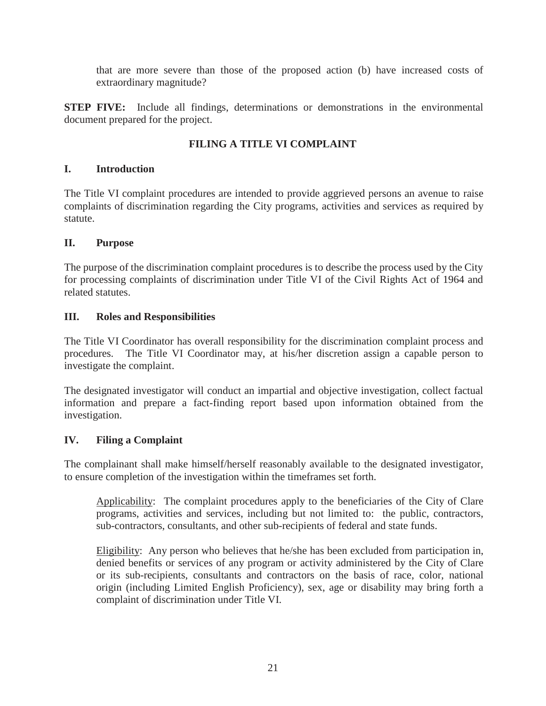that are more severe than those of the proposed action (b) have increased costs of extraordinary magnitude?

**STEP FIVE:** Include all findings, determinations or demonstrations in the environmental document prepared for the project.

# **FILING A TITLE VI COMPLAINT**

#### **I. Introduction**

The Title VI complaint procedures are intended to provide aggrieved persons an avenue to raise complaints of discrimination regarding the City programs, activities and services as required by statute.

#### **II. Purpose**

The purpose of the discrimination complaint procedures is to describe the process used by the City for processing complaints of discrimination under Title VI of the Civil Rights Act of 1964 and related statutes.

#### **III. Roles and Responsibilities**

The Title VI Coordinator has overall responsibility for the discrimination complaint process and procedures. The Title VI Coordinator may, at his/her discretion assign a capable person to investigate the complaint.

The designated investigator will conduct an impartial and objective investigation, collect factual information and prepare a fact-finding report based upon information obtained from the investigation.

# **IV. Filing a Complaint**

The complainant shall make himself/herself reasonably available to the designated investigator, to ensure completion of the investigation within the timeframes set forth.

Applicability: The complaint procedures apply to the beneficiaries of the City of Clare programs, activities and services, including but not limited to: the public, contractors, sub-contractors, consultants, and other sub-recipients of federal and state funds.

Eligibility: Any person who believes that he/she has been excluded from participation in, denied benefits or services of any program or activity administered by the City of Clare or its sub-recipients, consultants and contractors on the basis of race, color, national origin (including Limited English Proficiency), sex, age or disability may bring forth a complaint of discrimination under Title VI.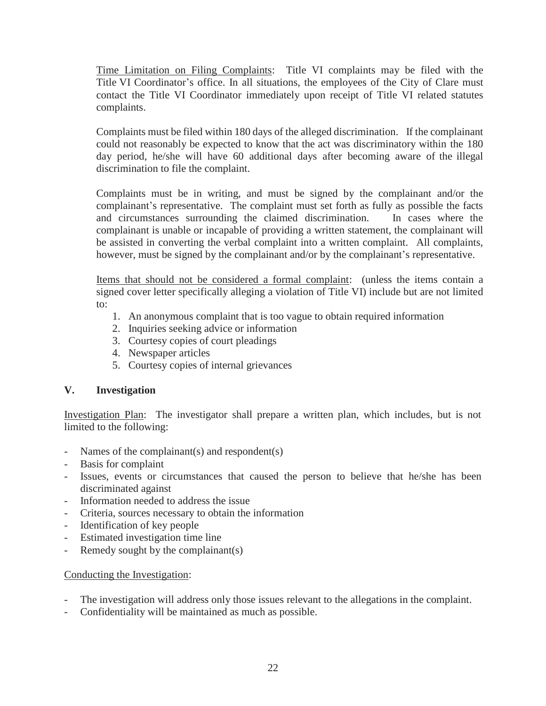Time Limitation on Filing Complaints: Title VI complaints may be filed with the Title VI Coordinator's office. In all situations, the employees of the City of Clare must contact the Title VI Coordinator immediately upon receipt of Title VI related statutes complaints.

Complaints must be filed within 180 days of the alleged discrimination. If the complainant could not reasonably be expected to know that the act was discriminatory within the 180 day period, he/she will have 60 additional days after becoming aware of the illegal discrimination to file the complaint.

Complaints must be in writing, and must be signed by the complainant and/or the complainant's representative. The complaint must set forth as fully as possible the facts and circumstances surrounding the claimed discrimination. In cases where the complainant is unable or incapable of providing a written statement, the complainant will be assisted in converting the verbal complaint into a written complaint. All complaints, however, must be signed by the complainant and/or by the complainant's representative.

Items that should not be considered a formal complaint: (unless the items contain a signed cover letter specifically alleging a violation of Title VI) include but are not limited to:

- 1. An anonymous complaint that is too vague to obtain required information
- 2. Inquiries seeking advice or information
- 3. Courtesy copies of court pleadings
- 4. Newspaper articles
- 5. Courtesy copies of internal grievances

# **V. Investigation**

Investigation Plan: The investigator shall prepare a written plan, which includes, but is not limited to the following:

- Names of the complainant(s) and respondent(s)
- Basis for complaint
- Issues, events or circumstances that caused the person to believe that he/she has been discriminated against
- Information needed to address the issue
- Criteria, sources necessary to obtain the information
- Identification of key people
- Estimated investigation time line
- Remedy sought by the complainant(s)

# Conducting the Investigation:

- The investigation will address only those issues relevant to the allegations in the complaint.
- Confidentiality will be maintained as much as possible.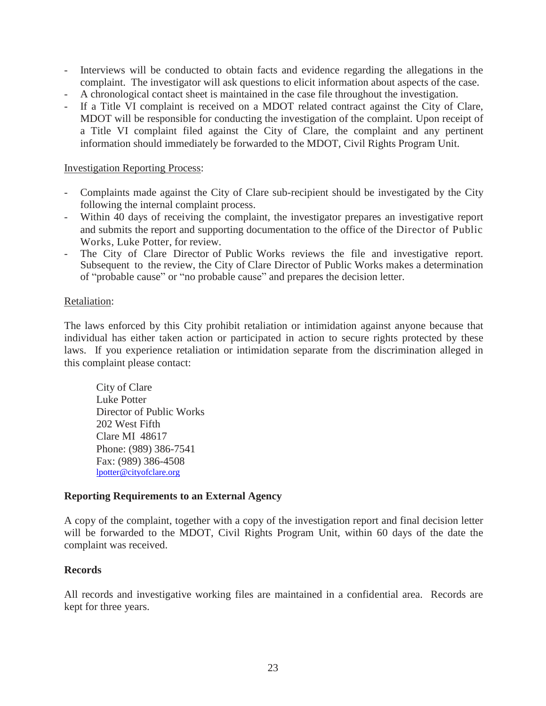- Interviews will be conducted to obtain facts and evidence regarding the allegations in the complaint. The investigator will ask questions to elicit information about aspects of the case.
- A chronological contact sheet is maintained in the case file throughout the investigation.
- If a Title VI complaint is received on a MDOT related contract against the City of Clare, MDOT will be responsible for conducting the investigation of the complaint. Upon receipt of a Title VI complaint filed against the City of Clare, the complaint and any pertinent information should immediately be forwarded to the MDOT, Civil Rights Program Unit.

#### Investigation Reporting Process:

- Complaints made against the City of Clare sub-recipient should be investigated by the City following the internal complaint process.
- Within 40 days of receiving the complaint, the investigator prepares an investigative report and submits the report and supporting documentation to the office of the Director of Public Works, Luke Potter, for review.
- The City of Clare Director of Public Works reviews the file and investigative report. Subsequent to the review, the City of Clare Director of Public Works makes a determination of "probable cause" or "no probable cause" and prepares the decision letter.

#### Retaliation:

The laws enforced by this City prohibit retaliation or intimidation against anyone because that individual has either taken action or participated in action to secure rights protected by these laws. If you experience retaliation or intimidation separate from the discrimination alleged in this complaint please contact:

City of Clare Luke Potter Director of Public Works 202 West Fifth Clare MI 48617 Phone: (989) 386-7541 Fax: (989) 386-4508 [lpotter@cityofclare.org](mailto:lpotter@cityofclare.org)

#### **Reporting Requirements to an External Agency**

A copy of the complaint, together with a copy of the investigation report and final decision letter will be forwarded to the MDOT, Civil Rights Program Unit, within 60 days of the date the complaint was received.

#### **Records**

All records and investigative working files are maintained in a confidential area. Records are kept for three years.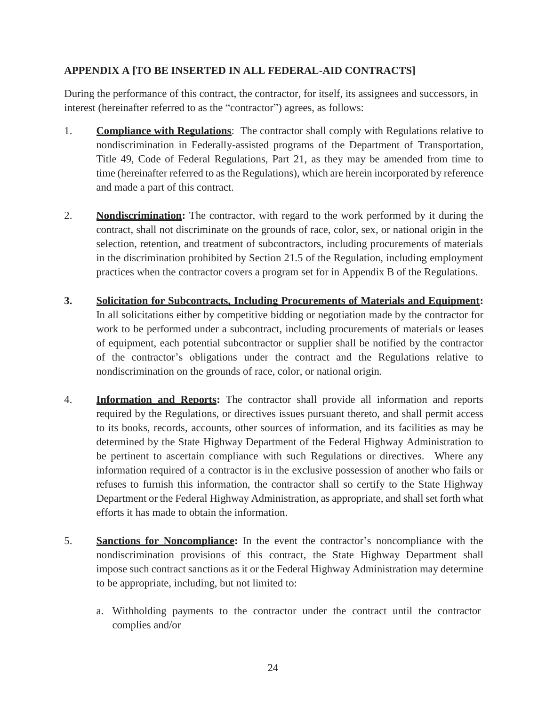# **APPENDIX A [TO BE INSERTED IN ALL FEDERAL-AID CONTRACTS]**

During the performance of this contract, the contractor, for itself, its assignees and successors, in interest (hereinafter referred to as the "contractor") agrees, as follows:

- 1. **Compliance with Regulations**: The contractor shall comply with Regulations relative to nondiscrimination in Federally-assisted programs of the Department of Transportation, Title 49, Code of Federal Regulations, Part 21, as they may be amended from time to time (hereinafter referred to as the Regulations), which are herein incorporated by reference and made a part of this contract.
- 2. **Nondiscrimination:** The contractor, with regard to the work performed by it during the contract, shall not discriminate on the grounds of race, color, sex, or national origin in the selection, retention, and treatment of subcontractors, including procurements of materials in the discrimination prohibited by Section 21.5 of the Regulation, including employment practices when the contractor covers a program set for in Appendix B of the Regulations.
- **3. Solicitation for Subcontracts, Including Procurements of Materials and Equipment:**  In all solicitations either by competitive bidding or negotiation made by the contractor for work to be performed under a subcontract, including procurements of materials or leases of equipment, each potential subcontractor or supplier shall be notified by the contractor of the contractor's obligations under the contract and the Regulations relative to nondiscrimination on the grounds of race, color, or national origin.
- 4. **Information and Reports:** The contractor shall provide all information and reports required by the Regulations, or directives issues pursuant thereto, and shall permit access to its books, records, accounts, other sources of information, and its facilities as may be determined by the State Highway Department of the Federal Highway Administration to be pertinent to ascertain compliance with such Regulations or directives. Where any information required of a contractor is in the exclusive possession of another who fails or refuses to furnish this information, the contractor shall so certify to the State Highway Department or the Federal Highway Administration, as appropriate, and shall set forth what efforts it has made to obtain the information.
- 5. **Sanctions for Noncompliance:** In the event the contractor's noncompliance with the nondiscrimination provisions of this contract, the State Highway Department shall impose such contract sanctions as it or the Federal Highway Administration may determine to be appropriate, including, but not limited to:
	- a. Withholding payments to the contractor under the contract until the contractor complies and/or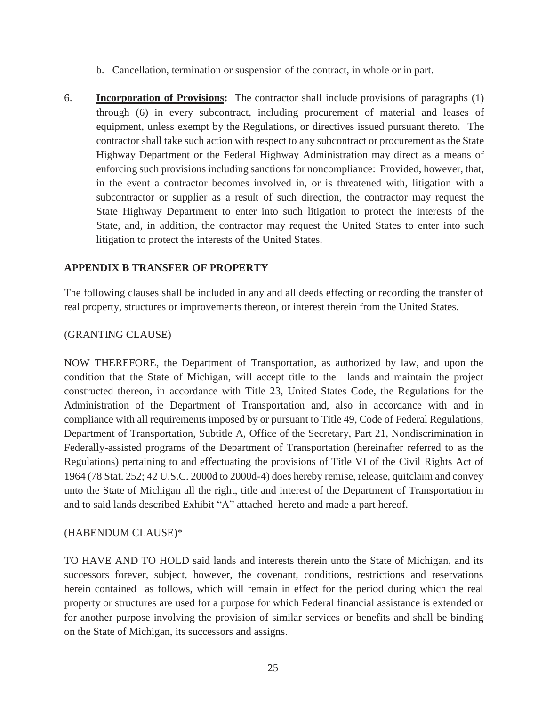- b. Cancellation, termination or suspension of the contract, in whole or in part.
- 6. **Incorporation of Provisions:** The contractor shall include provisions of paragraphs (1) through (6) in every subcontract, including procurement of material and leases of equipment, unless exempt by the Regulations, or directives issued pursuant thereto. The contractor shall take such action with respect to any subcontract or procurement as the State Highway Department or the Federal Highway Administration may direct as a means of enforcing such provisions including sanctions for noncompliance: Provided, however, that, in the event a contractor becomes involved in, or is threatened with, litigation with a subcontractor or supplier as a result of such direction, the contractor may request the State Highway Department to enter into such litigation to protect the interests of the State, and, in addition, the contractor may request the United States to enter into such litigation to protect the interests of the United States.

# **APPENDIX B TRANSFER OF PROPERTY**

The following clauses shall be included in any and all deeds effecting or recording the transfer of real property, structures or improvements thereon, or interest therein from the United States.

#### (GRANTING CLAUSE)

NOW THEREFORE, the Department of Transportation, as authorized by law, and upon the condition that the State of Michigan, will accept title to the lands and maintain the project constructed thereon, in accordance with Title 23, United States Code, the Regulations for the Administration of the Department of Transportation and, also in accordance with and in compliance with all requirements imposed by or pursuant to Title 49, Code of Federal Regulations, Department of Transportation, Subtitle A, Office of the Secretary, Part 21, Nondiscrimination in Federally-assisted programs of the Department of Transportation (hereinafter referred to as the Regulations) pertaining to and effectuating the provisions of Title VI of the Civil Rights Act of 1964 (78 Stat. 252; 42 U.S.C. 2000d to 2000d-4) does hereby remise, release, quitclaim and convey unto the State of Michigan all the right, title and interest of the Department of Transportation in and to said lands described Exhibit "A" attached hereto and made a part hereof.

#### (HABENDUM CLAUSE)\*

TO HAVE AND TO HOLD said lands and interests therein unto the State of Michigan, and its successors forever, subject, however, the covenant, conditions, restrictions and reservations herein contained as follows, which will remain in effect for the period during which the real property or structures are used for a purpose for which Federal financial assistance is extended or for another purpose involving the provision of similar services or benefits and shall be binding on the State of Michigan, its successors and assigns.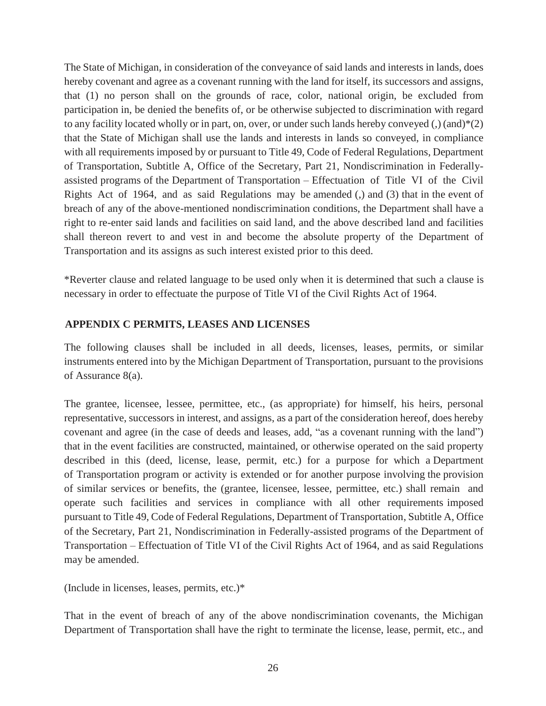The State of Michigan, in consideration of the conveyance of said lands and interests in lands, does hereby covenant and agree as a covenant running with the land for itself, its successors and assigns, that (1) no person shall on the grounds of race, color, national origin, be excluded from participation in, be denied the benefits of, or be otherwise subjected to discrimination with regard to any facility located wholly or in part, on, over, or under such lands hereby conveyed (,)  $(and)*(2)$ that the State of Michigan shall use the lands and interests in lands so conveyed, in compliance with all requirements imposed by or pursuant to Title 49, Code of Federal Regulations, Department of Transportation, Subtitle A, Office of the Secretary, Part 21, Nondiscrimination in Federallyassisted programs of the Department of Transportation – Effectuation of Title VI of the Civil Rights Act of 1964, and as said Regulations may be amended (,) and (3) that in the event of breach of any of the above-mentioned nondiscrimination conditions, the Department shall have a right to re-enter said lands and facilities on said land, and the above described land and facilities shall thereon revert to and vest in and become the absolute property of the Department of Transportation and its assigns as such interest existed prior to this deed.

\*Reverter clause and related language to be used only when it is determined that such a clause is necessary in order to effectuate the purpose of Title VI of the Civil Rights Act of 1964.

# **APPENDIX C PERMITS, LEASES AND LICENSES**

The following clauses shall be included in all deeds, licenses, leases, permits, or similar instruments entered into by the Michigan Department of Transportation, pursuant to the provisions of Assurance 8(a).

The grantee, licensee, lessee, permittee, etc., (as appropriate) for himself, his heirs, personal representative, successors in interest, and assigns, as a part of the consideration hereof, does hereby covenant and agree (in the case of deeds and leases, add, "as a covenant running with the land") that in the event facilities are constructed, maintained, or otherwise operated on the said property described in this (deed, license, lease, permit, etc.) for a purpose for which a Department of Transportation program or activity is extended or for another purpose involving the provision of similar services or benefits, the (grantee, licensee, lessee, permittee, etc.) shall remain and operate such facilities and services in compliance with all other requirements imposed pursuant to Title 49, Code of Federal Regulations, Department of Transportation, Subtitle A, Office of the Secretary, Part 21, Nondiscrimination in Federally-assisted programs of the Department of Transportation – Effectuation of Title VI of the Civil Rights Act of 1964, and as said Regulations may be amended.

(Include in licenses, leases, permits, etc.)\*

That in the event of breach of any of the above nondiscrimination covenants, the Michigan Department of Transportation shall have the right to terminate the license, lease, permit, etc., and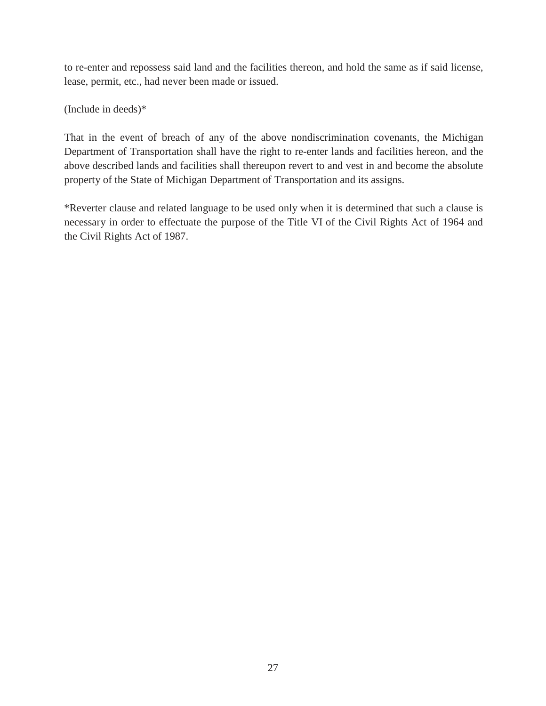to re-enter and repossess said land and the facilities thereon, and hold the same as if said license, lease, permit, etc., had never been made or issued.

(Include in deeds)\*

That in the event of breach of any of the above nondiscrimination covenants, the Michigan Department of Transportation shall have the right to re-enter lands and facilities hereon, and the above described lands and facilities shall thereupon revert to and vest in and become the absolute property of the State of Michigan Department of Transportation and its assigns.

\*Reverter clause and related language to be used only when it is determined that such a clause is necessary in order to effectuate the purpose of the Title VI of the Civil Rights Act of 1964 and the Civil Rights Act of 1987.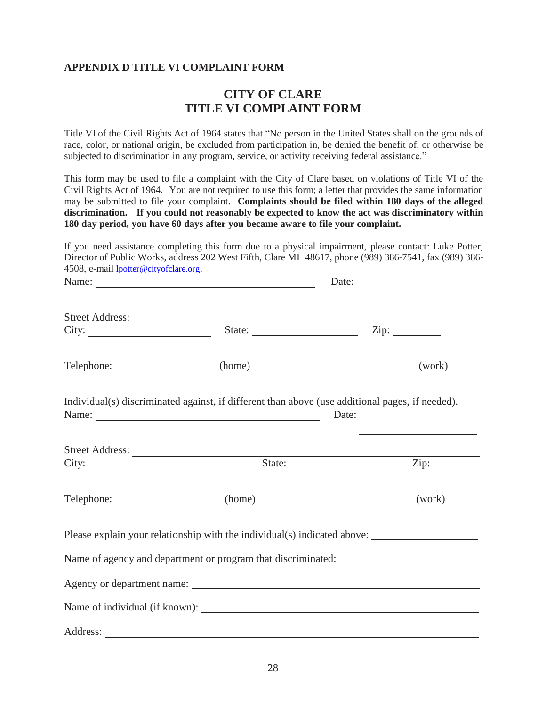#### **APPENDIX D TITLE VI COMPLAINT FORM**

# **CITY OF CLARE TITLE VI COMPLAINT FORM**

Title VI of the Civil Rights Act of 1964 states that "No person in the United States shall on the grounds of race, color, or national origin, be excluded from participation in, be denied the benefit of, or otherwise be subjected to discrimination in any program, service, or activity receiving federal assistance."

This form may be used to file a complaint with the City of Clare based on violations of Title VI of the Civil Rights Act of 1964. You are not required to use this form; a letter that provides the same information may be submitted to file your complaint. **Complaints should be filed within 180 days of the alleged discrimination. If you could not reasonably be expected to know the act was discriminatory within 180 day period, you have 60 days after you became aware to file your complaint.**

If you need assistance completing this form due to a physical impairment, please contact: Luke Potter,

| 4508, e-mail <b>lpotter@cityofclare.org</b> . |                                                              | Director of Public Works, address 202 West Fifth, Clare MI 48617, phone (989) 386-7541, fax (989) 386-                                                                                                                                                                                                                                  |  |
|-----------------------------------------------|--------------------------------------------------------------|-----------------------------------------------------------------------------------------------------------------------------------------------------------------------------------------------------------------------------------------------------------------------------------------------------------------------------------------|--|
|                                               |                                                              | Date:                                                                                                                                                                                                                                                                                                                                   |  |
|                                               |                                                              | <u>and the state of the state of the state of the state of the state of the state of the state of the state of the state of the state of the state of the state of the state of the state of the state of the state of the state</u>                                                                                                    |  |
|                                               | Street Address:                                              |                                                                                                                                                                                                                                                                                                                                         |  |
| City:                                         |                                                              | State: <u>Zip:</u> Zip:                                                                                                                                                                                                                                                                                                                 |  |
|                                               |                                                              |                                                                                                                                                                                                                                                                                                                                         |  |
|                                               | Name: Date:                                                  | Individual(s) discriminated against, if different than above (use additional pages, if needed).<br><u>and the company of the company of the company of the company of the company of the company of the company of the company of the company of the company of the company of the company of the company of the company of the com</u> |  |
|                                               |                                                              |                                                                                                                                                                                                                                                                                                                                         |  |
|                                               |                                                              |                                                                                                                                                                                                                                                                                                                                         |  |
|                                               | Telephone: (work) (home) (mone) (work)                       |                                                                                                                                                                                                                                                                                                                                         |  |
|                                               |                                                              | Please explain your relationship with the individual(s) indicated above:                                                                                                                                                                                                                                                                |  |
|                                               | Name of agency and department or program that discriminated: |                                                                                                                                                                                                                                                                                                                                         |  |
|                                               |                                                              |                                                                                                                                                                                                                                                                                                                                         |  |
|                                               |                                                              |                                                                                                                                                                                                                                                                                                                                         |  |
|                                               |                                                              |                                                                                                                                                                                                                                                                                                                                         |  |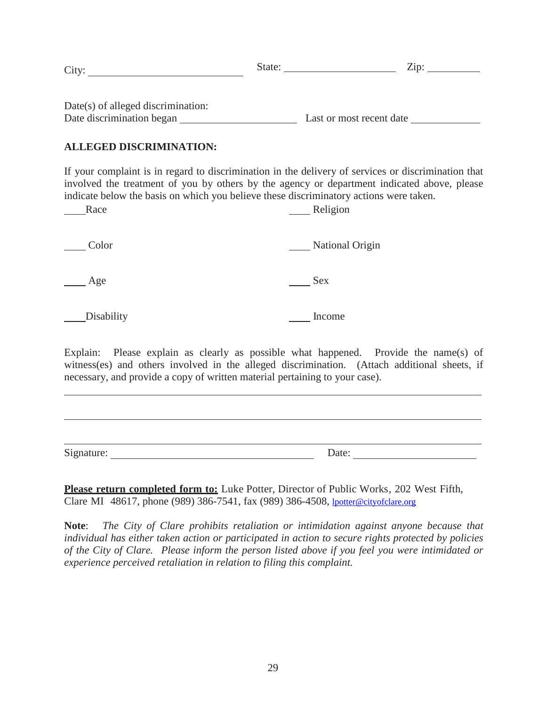| City:                                | State: |                          | Zip: |  |  |
|--------------------------------------|--------|--------------------------|------|--|--|
|                                      |        |                          |      |  |  |
| $Date(s)$ of alleged discrimination: |        |                          |      |  |  |
| Date discrimination began            |        | Last or most recent date |      |  |  |

# **ALLEGED DISCRIMINATION:**

If your complaint is in regard to discrimination in the delivery of services or discrimination that involved the treatment of you by others by the agency or department indicated above, please indicate below the basis on which you believe these discriminatory actions were taken.

| Race       | Religion               |
|------------|------------------------|
| Color      | <b>National Origin</b> |
| Age        | <b>Sex</b>             |
| Disability | Income                 |

<u> 1980 - Johann Barbara, martxa alemaniar arg</u>

Explain: Please explain as clearly as possible what happened. Provide the name(s) of witness(es) and others involved in the alleged discrimination. (Attach additional sheets, if necessary, and provide a copy of written material pertaining to your case).

Signature: Date: Date: Date:

**Please return completed form to:** Luke Potter, Director of Public Works, 202 West Fifth, Clare MI 48617, phone (989) 386-7541, fax (989) 386-4508, [lpotter@cityofclare.org](mailto:jhoward@cityofclare.org)

**Note**: *The City of Clare prohibits retaliation or intimidation against anyone because that individual has either taken action or participated in action to secure rights protected by policies of the City of Clare. Please inform the person listed above if you feel you were intimidated or experience perceived retaliation in relation to filing this complaint.*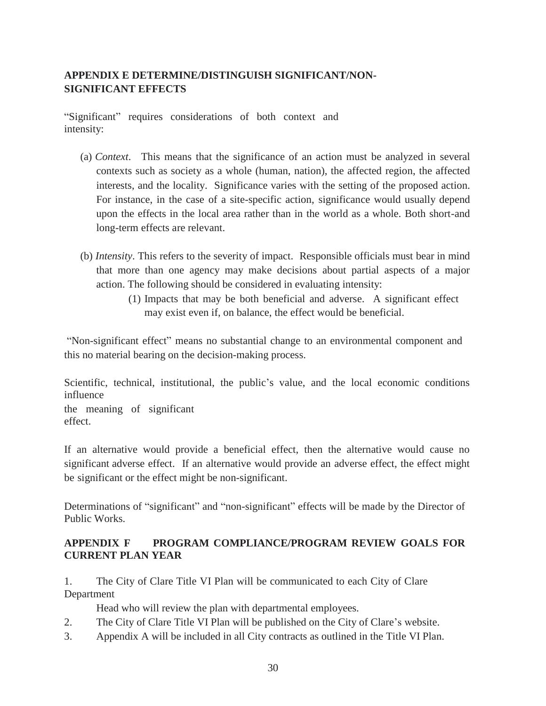# **APPENDIX E DETERMINE/DISTINGUISH SIGNIFICANT/NON-SIGNIFICANT EFFECTS**

"Significant" requires considerations of both context and intensity:

- (a) *Context*. This means that the significance of an action must be analyzed in several contexts such as society as a whole (human, nation), the affected region, the affected interests, and the locality. Significance varies with the setting of the proposed action. For instance, in the case of a site-specific action, significance would usually depend upon the effects in the local area rather than in the world as a whole. Both short-and long-term effects are relevant.
- (b) *Intensity*. This refers to the severity of impact. Responsible officials must bear in mind that more than one agency may make decisions about partial aspects of a major action. The following should be considered in evaluating intensity:
	- (1) Impacts that may be both beneficial and adverse. A significant effect may exist even if, on balance, the effect would be beneficial.

"Non-significant effect" means no substantial change to an environmental component and this no material bearing on the decision-making process.

Scientific, technical, institutional, the public's value, and the local economic conditions influence the meaning of significant

effect.

If an alternative would provide a beneficial effect, then the alternative would cause no significant adverse effect. If an alternative would provide an adverse effect, the effect might be significant or the effect might be non-significant.

Determinations of "significant" and "non-significant" effects will be made by the Director of Public Works.

# **APPENDIX F PROGRAM COMPLIANCE/PROGRAM REVIEW GOALS FOR CURRENT PLAN YEAR**

1. The City of Clare Title VI Plan will be communicated to each City of Clare Department

Head who will review the plan with departmental employees.

- 2. The City of Clare Title VI Plan will be published on the City of Clare's website.
- 3. Appendix A will be included in all City contracts as outlined in the Title VI Plan.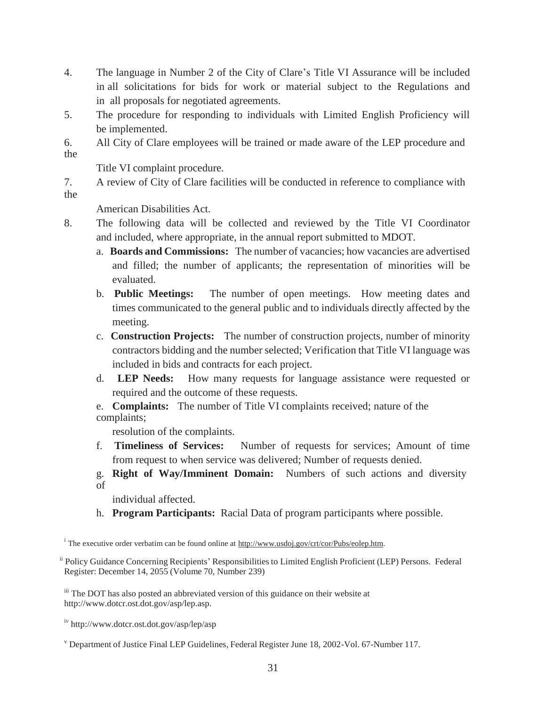- 4. The language in Number 2 of the City of Clare's Title VI Assurance will be included in all solicitations for bids for work or material subject to the Regulations and in all proposals for negotiated agreements.
- 5. The procedure for responding to individuals with Limited English Proficiency will be implemented.
- 6. All City of Clare employees will be trained or made aware of the LEP procedure and the

Title VI complaint procedure.

7. A review of City of Clare facilities will be conducted in reference to compliance with

the

American Disabilities Act.

- 8. The following data will be collected and reviewed by the Title VI Coordinator and included, where appropriate, in the annual report submitted to MDOT.
	- a. **Boards and Commissions:** The number of vacancies; how vacancies are advertised and filled; the number of applicants; the representation of minorities will be evaluated.
	- b. **Public Meetings:** The number of open meetings. How meeting dates and times communicated to the general public and to individuals directly affected by the meeting.
	- c. **Construction Projects:** The number of construction projects, number of minority contractors bidding and the number selected; Verification that Title VI language was included in bids and contracts for each project.
	- d. **LEP Needs:** How many requests for language assistance were requested or required and the outcome of these requests.
	- e. **Complaints:** The number of Title VI complaints received; nature of the complaints;

resolution of the complaints.

- f. **Timeliness of Services:** Number of requests for services; Amount of time from request to when service was delivered; Number of requests denied.
- g. **Right of Way/Imminent Domain:** Numbers of such actions and diversity of

individual affected.

h. **Program Participants:** Racial Data of program participants where possible.

<sup>i</sup> The executive order verbatim can be found online at [http://www.usdoj.gov/crt/cor/Pubs/eolep.htm.](http://www.usdoj.gov/crt/cor/Pubs/eolep.htm)

iii The DOT has also posted an abbreviated version of this guidance on their website at <http://www.dotcr.ost.dot.gov/asp/lep.asp>.

iv <http://www.dotcr.ost.dot.gov/asp/lep/asp>

<sup>&</sup>lt;sup>ii</sup> Policy Guidance Concerning Recipients' Responsibilities to Limited English Proficient (LEP) Persons. Federal Register: December 14, 2055 (Volume 70, Number 239)

<sup>v</sup> Department of Justice Final LEP Guidelines, Federal Register June 18, 2002-Vol. 67-Number 117.